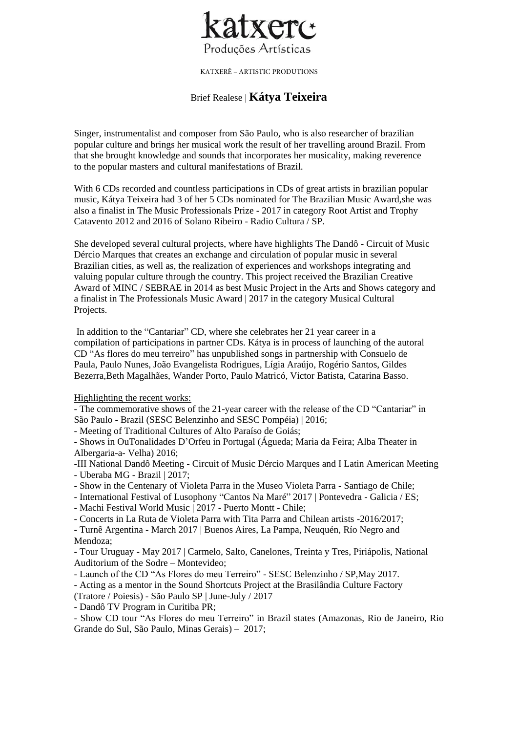

KATXERÊ – ARTISTIC PRODUTIONS

# Brief Realese | **Kátya Teixeira**

Singer, instrumentalist and composer from São Paulo, who is also researcher of brazilian popular culture and brings her musical work the result of her travelling around Brazil. From that she brought knowledge and sounds that incorporates her musicality, making reverence to the popular masters and cultural manifestations of Brazil.

With 6 CDs recorded and countless participations in CDs of great artists in brazilian popular music, Kátya Teixeira had 3 of her 5 CDs nominated for The Brazilian Music Award,she was also a finalist in The Music Professionals Prize - 2017 in category Root Artist and Trophy Catavento 2012 and 2016 of Solano Ribeiro - Radio Cultura / SP.

She developed several cultural projects, where have highlights The Dandô - Circuit of Music Dércio Marques that creates an exchange and circulation of popular music in several Brazilian cities, as well as, the realization of experiences and workshops integrating and valuing popular culture through the country. This project received the Brazilian Creative Award of MINC / SEBRAE in 2014 as best Music Project in the Arts and Shows category and a finalist in The Professionals Music Award | 2017 in the category Musical Cultural Projects.

In addition to the "Cantariar" CD, where she celebrates her 21 year career in a compilation of participations in partner CDs. Kátya is in process of launching of the autoral CD "As flores do meu terreiro" has unpublished songs in partnership with Consuelo de Paula, Paulo Nunes, João Evangelista Rodrigues, Lígia Araújo, Rogério Santos, Gildes Bezerra,Beth Magalhães, Wander Porto, Paulo Matricó, Victor Batista, Catarina Basso.

Highlighting the recent works:

- The commemorative shows of the 21-year career with the release of the CD "Cantariar" in São Paulo - Brazil (SESC Belenzinho and SESC Pompéia) | 2016;

- Meeting of Traditional Cultures of Alto Paraíso de Goiás;

- Shows in OuTonalidades D'Orfeu in Portugal (Águeda; Maria da Feira; Alba Theater in Albergaria-a- Velha) 2016;

-III National Dandô Meeting - Circuit of Music Dércio Marques and I Latin American Meeting - Uberaba MG - Brazil | 2017;

- Show in the Centenary of Violeta Parra in the Museo Violeta Parra Santiago de Chile;
- International Festival of Lusophony "Cantos Na Maré" 2017 | Pontevedra Galicia / ES;
- Machi Festival World Music | 2017 Puerto Montt Chile;
- Concerts in La Ruta de Violeta Parra with Tita Parra and Chilean artists -2016/2017;

- Turnê Argentina - March 2017 | Buenos Aires, La Pampa, Neuquén, Río Negro and Mendoza;

- Tour Uruguay - May 2017 | Carmelo, Salto, Canelones, Treinta y Tres, Piriápolis, National Auditorium of the Sodre – Montevideo;

- Launch of the CD "As Flores do meu Terreiro" - SESC Belenzinho / SP,May 2017.

- Acting as a mentor in the Sound Shortcuts Project at the Brasilândia Culture Factory

(Tratore / Poiesis) - São Paulo SP | June-July / 2017

- Dandô TV Program in Curitiba PR;

- Show CD tour "As Flores do meu Terreiro" in Brazil states (Amazonas, Rio de Janeiro, Rio Grande do Sul, São Paulo, Minas Gerais) – 2017;